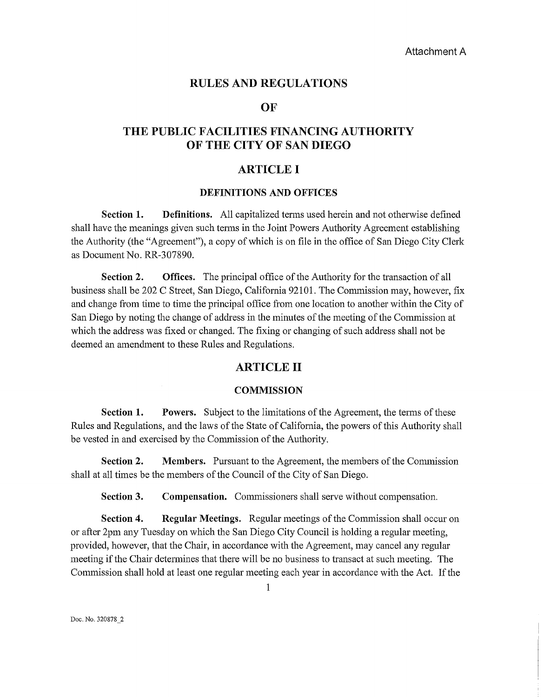### RULES AND REGULATIONS

## **OF**

# THE PUBLIC FACILITIES FINANCING AUTHORITY OF THE CITY OF SAN DIEGO

# ARTICLE I

### DEFINITIONS AND OFFICES

Section 1. Definitions. All capitalized terms used herein and not otherwise defined shall have the meanings given such tenus in the Joint Powers Authority Agreement establishing the Authority (the "Agreement"), a copy of which is on file in the office of San Diego City Clerk as Document No. RR-307890.

Section 2. Offices. The principal office of the Authority for the transaction of all business shall be 202 C Street, San Diego, Califomia 92101. The Commission may, however, fix and change from time to time the principal office from one location to another within the City of San Diego by noting the change of address in the minutes of the meeting of the Commission at which the address was fixed or changed. The fixing or changing of such address shall not be deemed an amendment to these Rules and Regulations.

# ARTICLE II

#### **COMMISSION**

Section 1. Powers. Subject to the limitations of the Agreement, the terms of these Rules and Regulations, and the laws of the State of Califomia, the powers of this Authority shall be vested in and exercised by the Commission of the Authority.

Section 2. Members. Pursuant to the Agreement, the members of the Commission shall at all times be the members of the Council of the City of San Diego.

Section 3. Compensation. Commissioners shall serve without compensation.

Section 4. Regular Meetings. Regular meetings of the Commission shall occur on or after 2pm any Tuesday on which the San Diego City Council is holding a regular meeting, provided, however, that the Chair, in accordance with the Agreement, may cancel any regular meeting if the Chair determines that there will be no business to transact at such meeting. The Commission shall hold at least one regular meeting each year in accordance with the Act. If the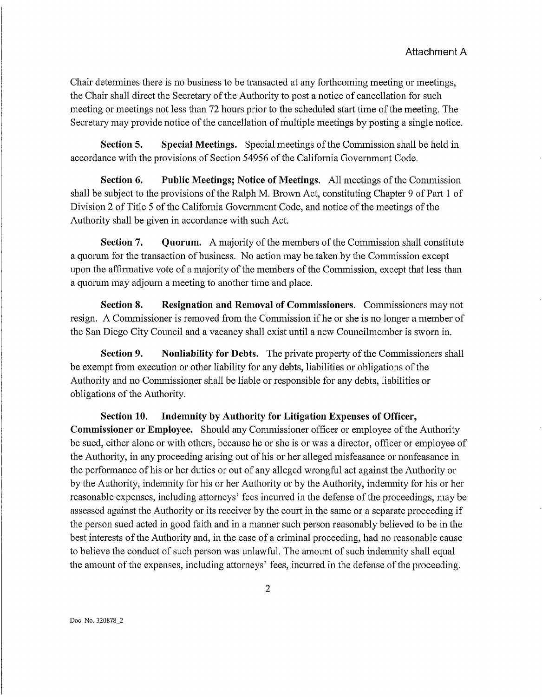Chair determines there is no business to be transacted at any forthcoming meeting or meetings, the Chair shall direct the Secretary of the Authority to post a notice of cancellation for such meeting or meetings not less than 72 hours prior to the scheduled start time of the meeting. The Secretary may provide notice of the cancellation of multiple meetings by posting a single notice.

Section 5. Special Meetings. Special meetings of the Commission shall be held in accordance with the provisions of Section 54956 of the Califomia Government Code.

Section 6. Public Meetings; Notice of Meetings. All meetings of the Commission shall be subject to the provisions of the Ralph M. Brown Act, constituting Chapter 9 of Part 1 of Division 2 of Title 5 of the Califomia Government Code, and notice of the meetings of the Authority shall be given in accordance with such Act.

Section 7. Quorum. A majority of the members of the Commission shall constitute a quorum for the transaction of business. No action may be taken by the Commission except upon the affirmative vote of a majority of the members of the Commission, except that less than a quorum may adjourn a meeting to another time and place.

Section 8. Resignation and Removal of Commissioners. Commissioners may not resign. A Commissioner is removed from the Commission if he or she is no longer a member of the San Diego City Council and a vacancy shall exist until a new Councilmember is swom in.

Section 9. Nonliability for Debts. The private property of the Commissioners shall be exempt from execution or other liability for any debts, liabilities or obligations of the Authority and no Commissioner shall be liable or responsible for any debts, liabilities or obligations of the Authority.

Section 10. Indemnity by Authority for Litigation Expenses of Officer, Commissioner or Employee. Should any Commissioner officer or employee of the Authority be sued, either alone or with others, because he or she is or was a director, officer or employee of the Authority, in any proceeding arising out of his or her alleged misfeasance or nonfeasance in the perfonnance of his or her duties or out of any alleged wrongful act against the Authority or by the Authority, indemnity for his or her Authority or by the Authority, indemnity for his or her reasonable expenses, including attorneys' fees incurred in the defense of the proceedings, may be assessed against the Authority or its receiver by the court in the same or a separate proceeding if the person sued acted in good faith and in a manner such person reasonably believed to be in the best interests of the Authority and, in the case of a criminal proceeding, had no reasonable cause to believe the conduct of such person was unlawful. The amount of such indenmity shall equal the amount of the expenses, including attorneys' fees, incurred in the defense of the proceeding.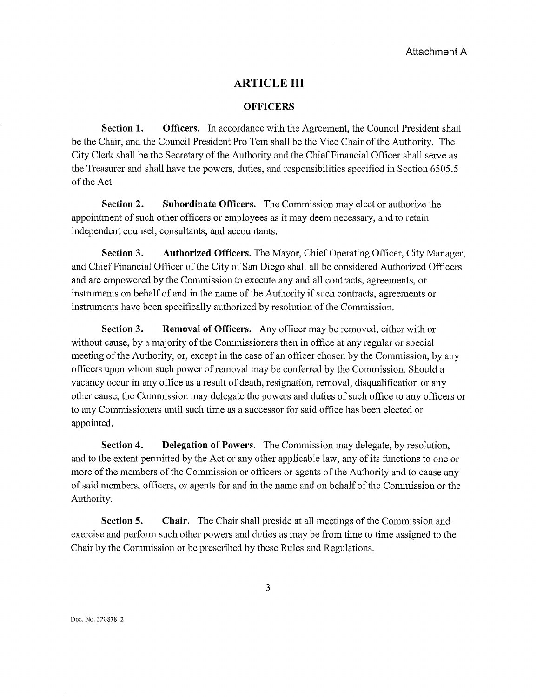### **ARTICLE III**

#### **OFFICERS**

**Section 1. Officers.** In accordance with the Agreement, the Council President shall be the Chair, and the Council President Pro Tem shall be the Vice Chair of the Authority. The City Clerk shall be the Secretary of the Authority and the Chief Financial Officer shall serve as the Treasurer and shall have the powers, duties, and responsibilities specified in Section 6505.5 of the Act.

**Section 2.** Subordinate Officers. The Commission may elect or authorize the appointment of such other officers or employees as it may deem necessary, and to retain independent counsel, consultants, and accountants.

**Section 3. Authorized Officers.** The Mayor, Chief Operating Officer, City Manager, and Chief Financial Officer of the City of San Diego shall all be considered Authorized Officers and are empowered by the Conunission to execute any and all contracts, agreements, or instruments on behalf of and in the name of the Authority if such contracts, agreements or instruments have been specifically authorized by resolution of the Commission.

**Section 3. Removal of Officers.** Any officer may be removed, either with or without cause, by a majority of the Commissioners then in office at any regular or special meeting of the Authority, or, except in the case of an officer chosen by the Conunission, by any officers upon whom such power of removal may be conferred by the Commission. Should a vacancy occur in any office as a result of death, resignation, removal, disqualification or any other cause, the Conunission may delegate the powers and duties of such office to any officers or to any Conunissioners until such time as a successor for said office has been elected or appointed.

**Section 4.** Delegation of Powers. The Commission may delegate, by resolution, and to the extent permitted by the Act or any other applicable law, any of its functions to one or more of the members of the Commission or officers or agents of the Authority and to cause any of said members, officers, or agents for and in the name and on behalf of the Conm1ission or the Authority.

**Section 5.** Chair. The Chair shall preside at all meetings of the Commission and exercise and perform such other powers and duties as may be from time to time assigned to the Chair by the Conunission or be prescribed by these Rules and Regulations.

3

Doc. No. 320878\_2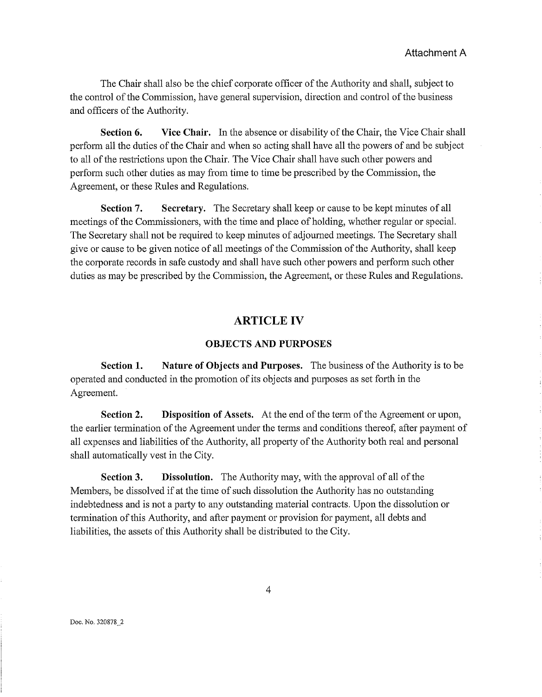The Chair shall also be the chief corporate officer of the Authority and shall, subject to the control of the Commission, have general supervision, direction and control of the business and officers of the Authority.

**Section 6. Vice Chair.** In the absence or disability of the Chair, the Vice Chair shall perfmm all the duties of the Chair and when so acting shall have all the powers of and be subject to all of the restrictions upon the Chair. The Vice Chair shall have such other powers and perform such other duties as may from time to time be prescribed by the Commission, the Agreement, or these Rules and Regulations.

**Section 7. Secretary.** The Secretary shall keep or cause to be kept minutes of all meetings of the Commissioners, with the time and place of holding, whether regular or special. The Secretary shall not be required to keep minutes of adjourned meetings. The Secretary shall give or cause to be given notice of all meetings of the Conunission of the Authority, shall keep the corporate records in safe custody and shall have such other powers and perform such other duties as may be prescribed by the Commission, the Agreement, or these Rules and Regulations.

# **ARTICLE IV**

#### **OBJECTS AND PURPOSES**

**Section 1. Nature of Objects and Purposes.** The business of the Authority is to be operated and conducted in the promotion of its objects and purposes as set forth in the Agreement.

**Section 2. Disposition of Assets.** At the end of the tenn of the Agreement or upon, the earlier termination of the Agreement under the terms and conditions thereof, after payment of all expenses and liabilities of the Authority, all property of the Authority both real and personal shall automatically vest in the City.

**Section 3. Dissolution.** The Authority may, with the approval of all of the Members, be dissolved if at the time of such dissolution the Authority has no outstanding indebtedness and is not a party to any outstanding material contracts. Upon the dissolution or tennination of this Authority, and after payment or provision for payment, all debts and liabilities, the assets of this Authority shall be distributed to the City.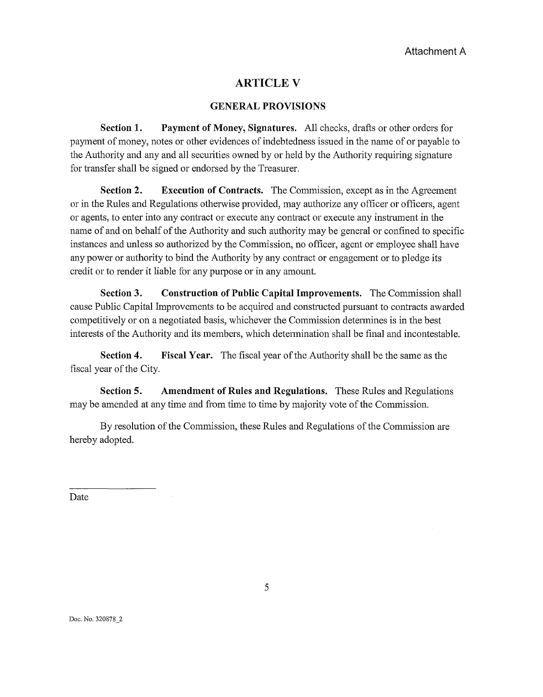# **ARTICLEV**

#### **GENERAL PROVISIONS**

**Section 1. Payment of Money, Signatures.** All checks, drafts or other orders for payment of money, notes or other evidences of indebtedness issued in the name of or payable to the Authority and any and all securities owned by or held by the Authority requiring signature for transfer shall be signed or endorsed by the Treasurer.

**Section 2. Execution of Contracts.** The Commission, except as in the Agreement or in the Rules and Regulations otherwise provided, may authorize any officer or officers, agent or agents, to enter into any contract or execute any contract or execute any instrument in the name of and on behalf of the Authority and such authority may be general or confined to specific instances and unless so authorized by the Commission, no officer, agent or employee shall have any power or authority to bind the Authority by any contract or engagement or to pledge its credit or to render it liable for any purpose or in any amount.

**Section 3. Construction of Public Capital Improvements.** The Commission shall cause Public Capital Improvements to be acquired and constmcted pursuant to contracts awarded competitively or on a negotiated basis, whichever the Commission detennines is in the best interests of the Authority and its members, which detennination shall be final and incontestable.

**Section 4.** Fiscal Year. The fiscal year of the Authority shall be the same as the fiscal year of the City.

**Section 5. Amendment of Rules and Regulations.** These Rules and Regulations may be amended at any time and from time to time by majority vote of the Commission.

By resolution of the Commission, these Rules and Regulations of the Commission are hereby adopted.

Date